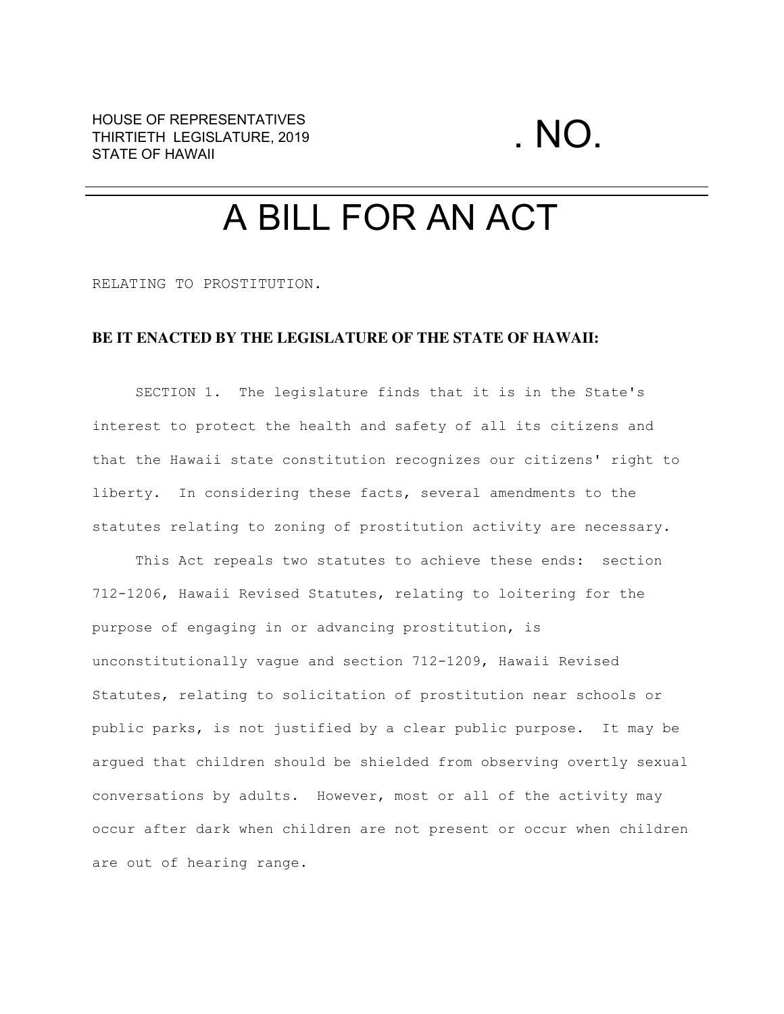## A BILL FOR AN ACT

RELATING TO PROSTITUTION.

## **BE IT ENACTED BY THE LEGISLATURE OF THE STATE OF HAWAII:**

SECTION 1. The legislature finds that it is in the State's interest to protect the health and safety of all its citizens and that the Hawaii state constitution recognizes our citizens' right to liberty. In considering these facts, several amendments to the statutes relating to zoning of prostitution activity are necessary.

This Act repeals two statutes to achieve these ends: section 712-1206, Hawaii Revised Statutes, relating to loitering for the purpose of engaging in or advancing prostitution, is unconstitutionally vague and section 712-1209, Hawaii Revised Statutes, relating to solicitation of prostitution near schools or public parks, is not justified by a clear public purpose. It may be argued that children should be shielded from observing overtly sexual conversations by adults. However, most or all of the activity may occur after dark when children are not present or occur when children are out of hearing range.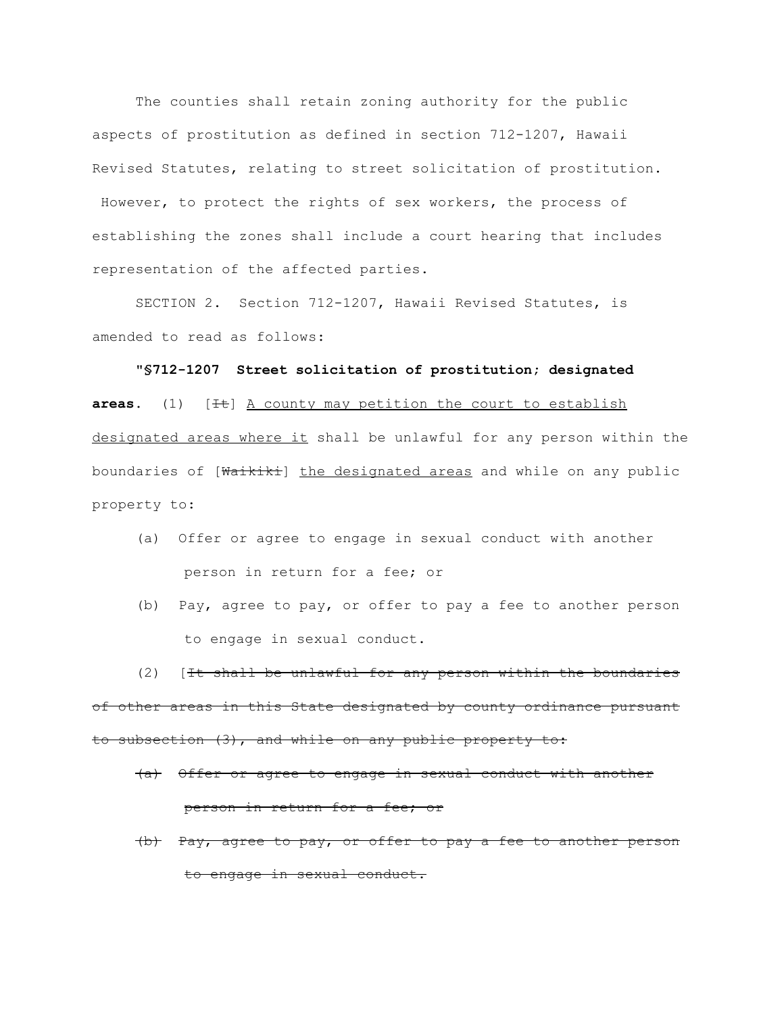The counties shall retain zoning authority for the public aspects of prostitution as defined in section 712-1207, Hawaii Revised Statutes, relating to street solicitation of prostitution. However, to protect the rights of sex workers, the process of establishing the zones shall include a court hearing that includes representation of the affected parties.

SECTION 2. Section 712-1207, Hawaii Revised Statutes, is amended to read as follows:

**"§712-1207 Street solicitation of prostitution; designated** areas. (1) [<sup>It</sup>] A county may petition the court to establish designated areas where it shall be unlawful for any person within the boundaries of [Waikiki] the designated areas and while on any public property to:

- (a) Offer or agree to engage in sexual conduct with another person in return for a fee; or
- (b) Pay, agree to pay, or offer to pay a fee to another person to engage in sexual conduct.

(2) [It shall be unlawful for any person within the boundaries of other areas in this State designated by county ordinance pursuant to subsection (3), and while on any public property to:

- (a) Offer or agree to engage in sexual conduct with another person in return for a fee; or
- (b) Pay, agree to pay, or offer to pay a fee to another person to engage in sexual conduct.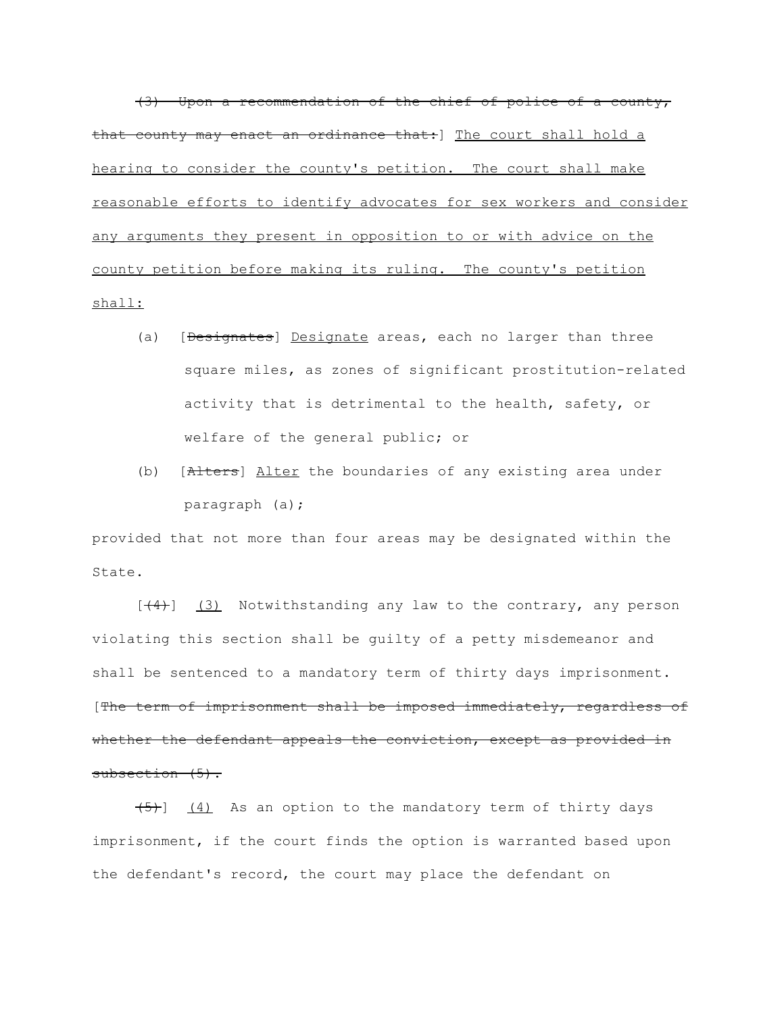(3) Upon a recommendation of the chief of police of a county, that county may enact an ordinance that: ] The court shall hold a hearing to consider the county's petition. The court shall make reasonable efforts to identify advocates for sex workers and consider any arguments they present in opposition to or with advice on the county petition before making its ruling. The county's petition shall:

- (a) [Designates] Designate areas, each no larger than three square miles, as zones of significant prostitution-related activity that is detrimental to the health, safety, or welfare of the general public; or
- (b) [Alters] Alter the boundaries of any existing area under paragraph (a);

provided that not more than four areas may be designated within the State.

 $[\frac{4}{4}]$  (3) Notwithstanding any law to the contrary, any person violating this section shall be guilty of a petty misdemeanor and shall be sentenced to a mandatory term of thirty days imprisonment. [The term of imprisonment shall be imposed immediately, regardless of whether the defendant appeals the conviction, except as provided in subsection (5).

 $(5)$ ]  $(4)$  As an option to the mandatory term of thirty days imprisonment, if the court finds the option is warranted based upon the defendant's record, the court may place the defendant on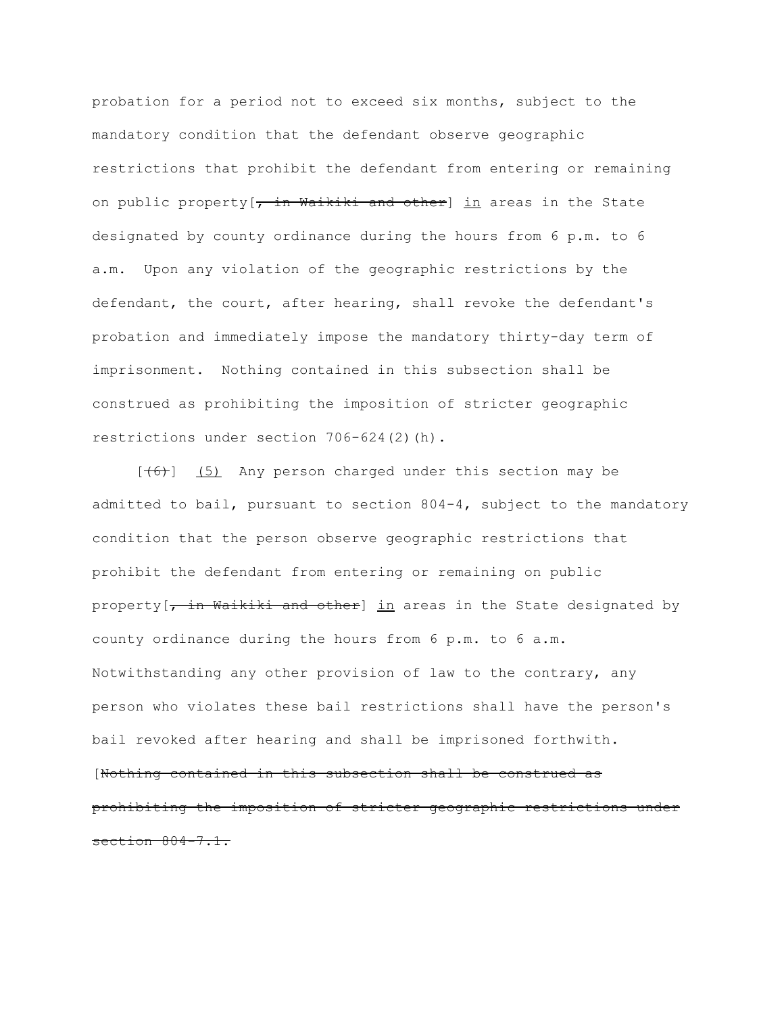probation for a period not to exceed six months, subject to the mandatory condition that the defendant observe geographic restrictions that prohibit the defendant from entering or remaining on public property  $\frac{1}{r}$  in Waikiki and other] in areas in the State designated by county ordinance during the hours from 6 p.m. to 6 a.m. Upon any violation of the geographic restrictions by the defendant, the court, after hearing, shall revoke the defendant's probation and immediately impose the mandatory thirty-day term of imprisonment. Nothing contained in this subsection shall be construed as prohibiting the imposition of stricter geographic restrictions under section 706-624(2)(h).

 $[\frac{(6)}{6}]$  (5) Any person charged under this section may be admitted to bail, pursuant to section 804-4, subject to the mandatory condition that the person observe geographic restrictions that prohibit the defendant from entering or remaining on public property [7 in Waikiki and other] in areas in the State designated by county ordinance during the hours from 6 p.m. to 6 a.m. Notwithstanding any other provision of law to the contrary, any person who violates these bail restrictions shall have the person's bail revoked after hearing and shall be imprisoned forthwith. [Nothing contained in this subsection shall be construed as prohibiting the imposition of stricter geographic restrictions under section 804-7.1.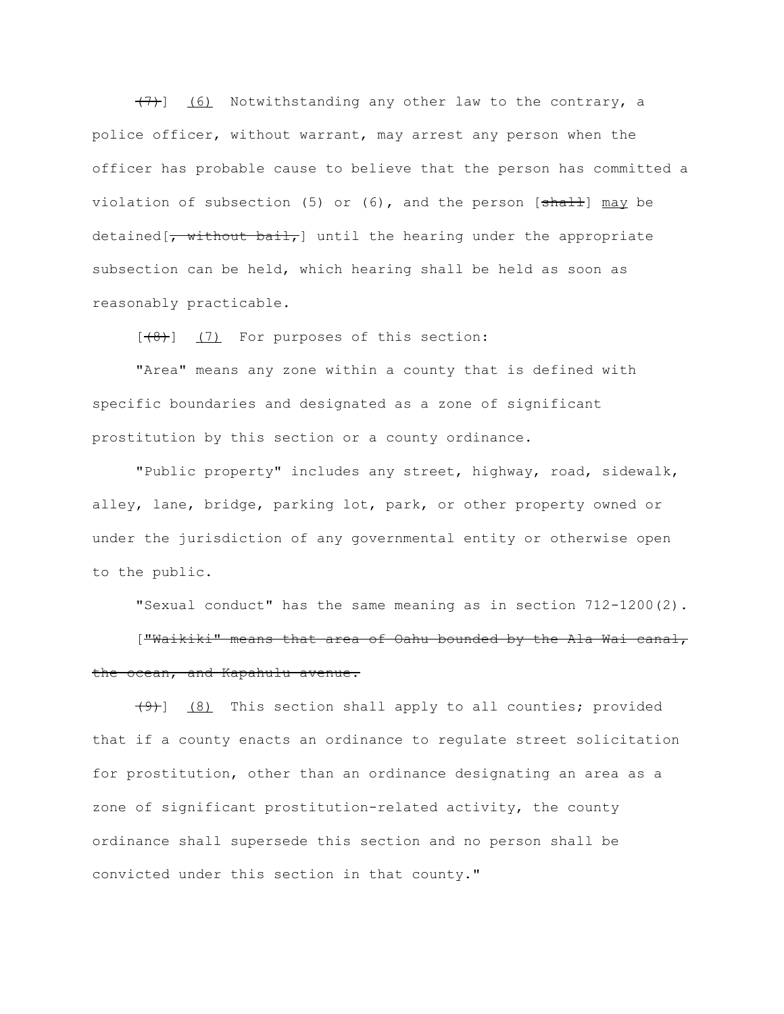(7)] (6) Notwithstanding any other law to the contrary, a police officer, without warrant, may arrest any person when the officer has probable cause to believe that the person has committed a violation of subsection (5) or  $(6)$ , and the person  $[\frac{\text{shall}}{\text{may}}]$  may be detained  $\overline{z}$  without bail, until the hearing under the appropriate subsection can be held, which hearing shall be held as soon as reasonably practicable.

 $[ (8) ]$  (7) For purposes of this section:

"Area" means any zone within a county that is defined with specific boundaries and designated as a zone of significant prostitution by this section or a county ordinance.

"Public property" includes any street, highway, road, sidewalk, alley, lane, bridge, parking lot, park, or other property owned or under the jurisdiction of any governmental entity or otherwise open to the public.

"Sexual conduct" has the same meaning as in section 712-1200(2). ["Waikiki" means that area of Oahu bounded by the Ala Wai canal, the ocean, and Kapahulu avenue.

 $(9)$ ]  $(8)$  This section shall apply to all counties; provided that if a county enacts an ordinance to regulate street solicitation for prostitution, other than an ordinance designating an area as a zone of significant prostitution-related activity, the county ordinance shall supersede this section and no person shall be convicted under this section in that county."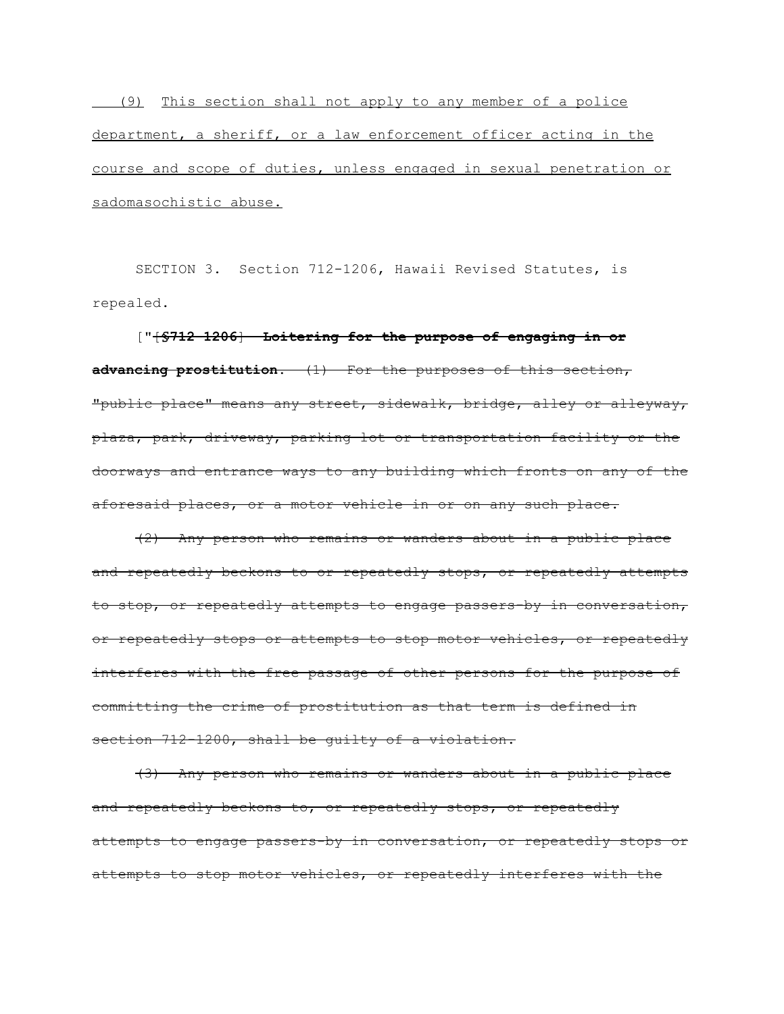(9) This section shall not apply to any member of a police department, a sheriff, or a law enforcement officer acting in the course and scope of duties, unless engaged in sexual penetration or sadomasochistic abuse.

SECTION 3. Section 712-1206, Hawaii Revised Statutes, is repealed.

["[**§712-1206**] **Loitering for the purpose of engaging in or advancing prostitution.** (1) For the purposes of this section, "public place" means any street, sidewalk, bridge, alley or alleyway, plaza, park, driveway, parking lot or transportation facility or the doorways and entrance ways to any building which fronts on any of the aforesaid places, or a motor vehicle in or on any such place.

(2) Any person who remains or wanders about in a public place and repeatedly beckons to or repeatedly stops, or repeatedly attempts to stop, or repeatedly attempts to engage passers-by in conversation, or repeatedly stops or attempts to stop motor vehicles, or repeatedly interferes with the free passage of other persons for the purpose of committing the crime of prostitution as that term is defined in section 712-1200, shall be quilty of a violation.

(3) Any person who remains or wanders about in a public place and repeatedly beckons to, or repeatedly stops, or repeatedly attempts to engage passers-by in conversation, or repeatedly stops or attempts to stop motor vehicles, or repeatedly interferes with the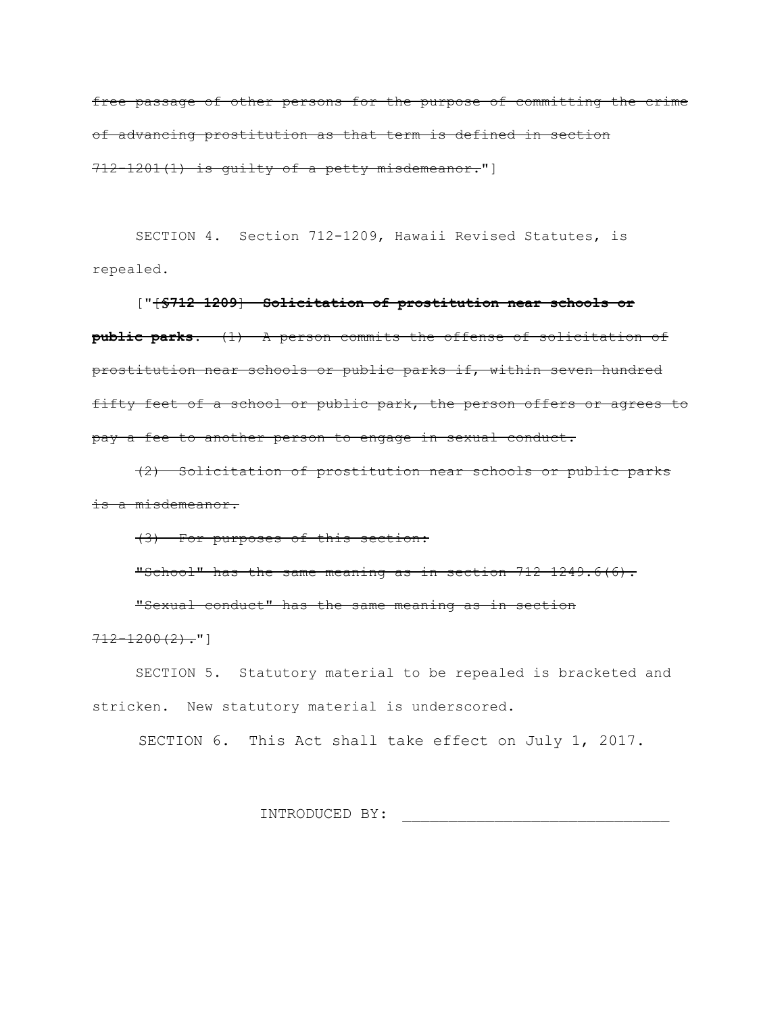free passage of other persons for the purpose of committing the crime of advancing prostitution as that term is defined in section 712-1201(1) is guilty of a petty misdemeanor."]

SECTION 4. Section 712-1209, Hawaii Revised Statutes, is repealed.

["[**§712-1209**] **Solicitation of prostitution near schools or public parks.** (1) A person commits the offense of solicitation of prostitution near schools or public parks if, within seven hundred fifty feet of a school or public park, the person offers or agrees to pay a fee to another person to engage in sexual conduct.

(2) Solicitation of prostitution near schools or public parks is a misdemeanor.

(3) For purposes of this section:

"School" has the same meaning as in section 712-1249.6(6).

"Sexual conduct" has the same meaning as in section

 $712 - 1200(2)$ ."]

SECTION 5. Statutory material to be repealed is bracketed and stricken. New statutory material is underscored.

SECTION 6. This Act shall take effect on July 1, 2017.

INTRODUCED BY: